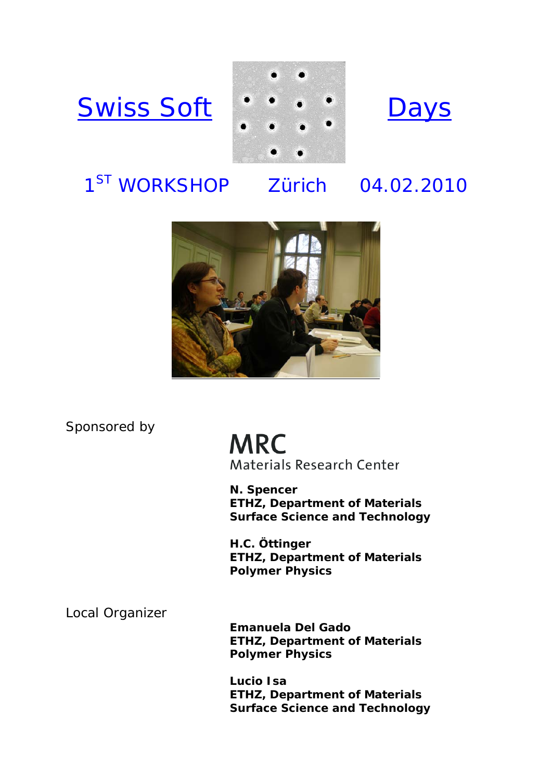





# 1<sup>ST</sup> WORKSHOP Zürich 04.02.2010



Sponsored by

**MRC Materials Research Center** 

**N. Spencer ETHZ, Department of Materials Surface Science and Technology** 

**H.C. Öttinger ETHZ, Department of Materials Polymer Physics** 

Local Organizer

**Emanuela Del Gado ETHZ, Department of Materials Polymer Physics** 

**Lucio Isa ETHZ, Department of Materials Surface Science and Technology**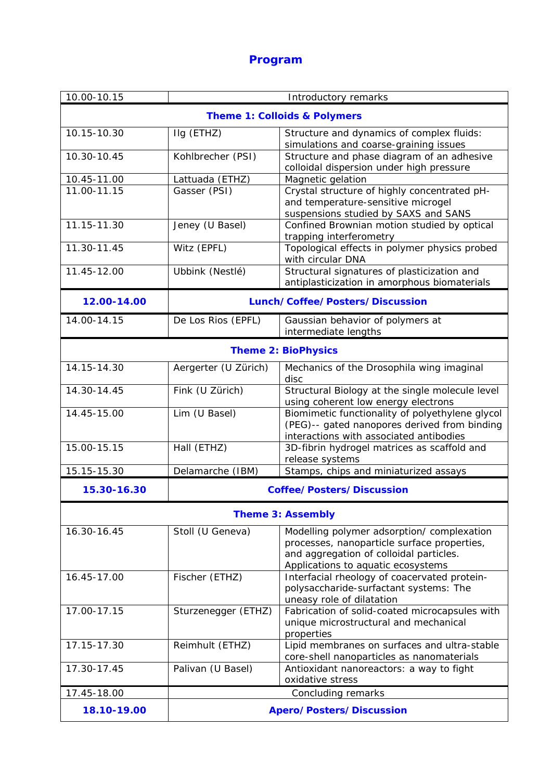## **Program**

| 10.00-10.15                             | Introductory remarks             |                                                                                                                                                                            |
|-----------------------------------------|----------------------------------|----------------------------------------------------------------------------------------------------------------------------------------------------------------------------|
| <b>Theme 1: Colloids &amp; Polymers</b> |                                  |                                                                                                                                                                            |
| 10.15-10.30                             | Ilg (ETHZ)                       | Structure and dynamics of complex fluids:<br>simulations and coarse-graining issues                                                                                        |
| 10.30-10.45                             | Kohlbrecher (PSI)                | Structure and phase diagram of an adhesive<br>colloidal dispersion under high pressure                                                                                     |
| 10.45-11.00                             | Lattuada (ETHZ)                  | Magnetic gelation                                                                                                                                                          |
| 11.00-11.15                             | Gasser (PSI)                     | Crystal structure of highly concentrated pH-<br>and temperature-sensitive microgel<br>suspensions studied by SAXS and SANS                                                 |
| 11.15-11.30                             | Jeney (U Basel)                  | Confined Brownian motion studied by optical<br>trapping interferometry                                                                                                     |
| 11.30-11.45                             | Witz (EPFL)                      | Topological effects in polymer physics probed<br>with circular DNA                                                                                                         |
| 11.45-12.00                             | Ubbink (Nestlé)                  | Structural signatures of plasticization and<br>antiplasticization in amorphous biomaterials                                                                                |
| 12.00-14.00                             | Lunch/Coffee/Posters/Discussion  |                                                                                                                                                                            |
| 14.00-14.15                             | De Los Rios (EPFL)               | Gaussian behavior of polymers at<br>intermediate lengths                                                                                                                   |
| <b>Theme 2: BioPhysics</b>              |                                  |                                                                                                                                                                            |
| 14.15-14.30                             | Aergerter (U Zürich)             | Mechanics of the Drosophila wing imaginal<br>disc                                                                                                                          |
| 14.30-14.45                             | Fink (U Zürich)                  | Structural Biology at the single molecule level<br>using coherent low energy electrons                                                                                     |
| 14.45-15.00                             | Lim (U Basel)                    | Biomimetic functionality of polyethylene glycol<br>(PEG)-- gated nanopores derived from binding<br>interactions with associated antibodies                                 |
| 15.00-15.15                             | Hall (ETHZ)                      | 3D-fibrin hydrogel matrices as scaffold and<br>release systems                                                                                                             |
| 15.15-15.30                             | Delamarche (IBM)                 | Stamps, chips and miniaturized assays                                                                                                                                      |
| 15.30-16.30                             | <b>Coffee/Posters/Discussion</b> |                                                                                                                                                                            |
| <b>Theme 3: Assembly</b>                |                                  |                                                                                                                                                                            |
| 16.30-16.45                             | Stoll (U Geneva)                 | Modelling polymer adsorption/ complexation<br>processes, nanoparticle surface properties,<br>and aggregation of colloidal particles.<br>Applications to aquatic ecosystems |
| 16.45-17.00                             | Fischer (ETHZ)                   | Interfacial rheology of coacervated protein-<br>polysaccharide-surfactant systems: The<br>uneasy role of dilatation                                                        |
| 17.00-17.15                             | Sturzenegger (ETHZ)              | Fabrication of solid-coated microcapsules with<br>unique microstructural and mechanical<br>properties                                                                      |
| 17.15-17.30                             | Reimhult (ETHZ)                  | Lipid membranes on surfaces and ultra-stable<br>core-shell nanoparticles as nanomaterials                                                                                  |
| 17.30-17.45                             | Palivan (U Basel)                | Antioxidant nanoreactors: a way to fight<br>oxidative stress                                                                                                               |
| 17.45-18.00                             | Concluding remarks               |                                                                                                                                                                            |
| 18.10-19.00                             | <b>Apero/Posters/Discussion</b>  |                                                                                                                                                                            |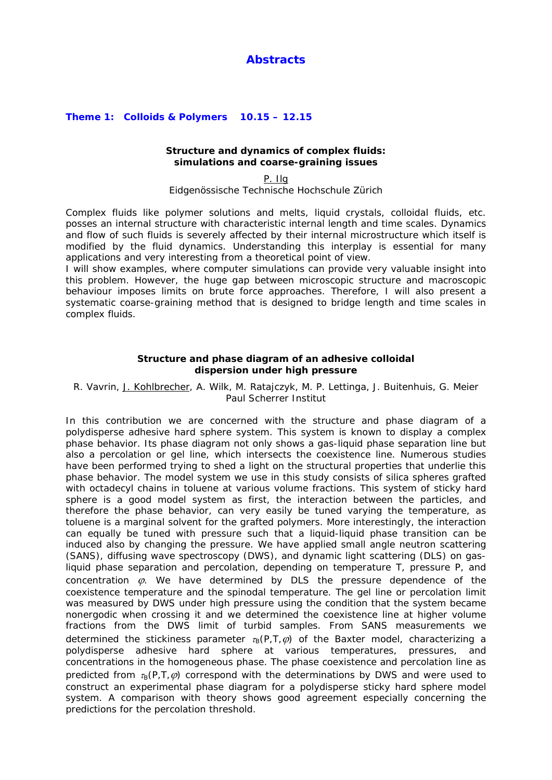### **Abstracts**

#### **Theme 1: Colloids & Polymers 10.15 – 12.15**

#### **Structure and dynamics of complex fluids: simulations and coarse-graining issues**

P. Ilg *Eidgenössische Technische Hochschule Zürich* 

Complex fluids like polymer solutions and melts, liquid crystals, colloidal fluids, etc. posses an internal structure with characteristic internal length and time scales. Dynamics and flow of such fluids is severely affected by their internal microstructure which itself is modified by the fluid dynamics. Understanding this interplay is essential for many applications and very interesting from a theoretical point of view.

I will show examples, where computer simulations can provide very valuable insight into this problem. However, the huge gap between microscopic structure and macroscopic behaviour imposes limits on brute force approaches. Therefore, I will also present a systematic coarse-graining method that is designed to bridge length and time scales in complex fluids.

#### **Structure and phase diagram of an adhesive colloidal dispersion under high pressure**

R. Vavrin, J. Kohlbrecher, A. Wilk, M. Ratajczyk, M. P. Lettinga, J. Buitenhuis, G. Meier *Paul Scherrer Institut* 

In this contribution we are concerned with the structure and phase diagram of a polydisperse adhesive hard sphere system. This system is known to display a complex phase behavior. Its phase diagram not only shows a gas-liquid phase separation line but also a percolation or gel line, which intersects the coexistence line. Numerous studies have been performed trying to shed a light on the structural properties that underlie this phase behavior. The model system we use in this study consists of silica spheres grafted with octadecyl chains in toluene at various volume fractions. This system of sticky hard sphere is a good model system as first, the interaction between the particles, and therefore the phase behavior, can very easily be tuned varying the temperature, as toluene is a marginal solvent for the grafted polymers. More interestingly, the interaction can equally be tuned with pressure such that a liquid-liquid phase transition can be induced also by changing the pressure. We have applied small angle neutron scattering (SANS), diffusing wave spectroscopy (DWS), and dynamic light scattering (DLS) on gasliquid phase separation and percolation, depending on temperature *T*, pressure *P*, and concentration  $\varphi$ . We have determined by DLS the pressure dependence of the coexistence temperature and the spinodal temperature. The gel line or percolation limit was measured by DWS under high pressure using the condition that the system became nonergodic when crossing it and we determined the coexistence line at higher volume fractions from the DWS limit of turbid samples. From SANS measurements we determined the stickiness parameter  $\tau_B(P, T, \varphi)$  of the Baxter model, characterizing a polydisperse adhesive hard sphere at various temperatures, pressures, and concentrations in the homogeneous phase. The phase coexistence and percolation line as predicted from  $\tau_B(P, T, \varnothing)$  correspond with the determinations by DWS and were used to construct an experimental phase diagram for a polydisperse sticky hard sphere model system. A comparison with theory shows good agreement especially concerning the predictions for the percolation threshold.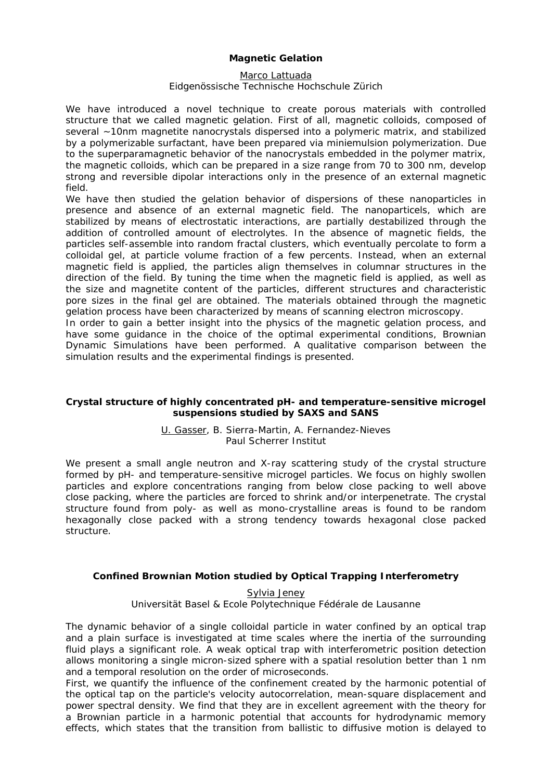#### **Magnetic Gelation**

#### Marco Lattuada

#### *Eidgenössische Technische Hochschule Zürich*

We have introduced a novel technique to create porous materials with controlled structure that we called magnetic gelation. First of all, magnetic colloids, composed of several ~10nm magnetite nanocrystals dispersed into a polymeric matrix, and stabilized by a polymerizable surfactant, have been prepared via miniemulsion polymerization. Due to the superparamagnetic behavior of the nanocrystals embedded in the polymer matrix, the magnetic colloids, which can be prepared in a size range from 70 to 300 nm, develop strong and reversible dipolar interactions only in the presence of an external magnetic field.

We have then studied the gelation behavior of dispersions of these nanoparticles in presence and absence of an external magnetic field. The nanoparticels, which are stabilized by means of electrostatic interactions, are partially destabilized through the addition of controlled amount of electrolytes. In the absence of magnetic fields, the particles self-assemble into random fractal clusters, which eventually percolate to form a colloidal gel, at particle volume fraction of a few percents. Instead, when an external magnetic field is applied, the particles align themselves in columnar structures in the direction of the field. By tuning the time when the magnetic field is applied, as well as the size and magnetite content of the particles, different structures and characteristic pore sizes in the final gel are obtained. The materials obtained through the magnetic gelation process have been characterized by means of scanning electron microscopy.

In order to gain a better insight into the physics of the magnetic gelation process, and have some guidance in the choice of the optimal experimental conditions, Brownian Dynamic Simulations have been performed. A qualitative comparison between the simulation results and the experimental findings is presented.

#### **Crystal structure of highly concentrated pH- and temperature-sensitive microgel suspensions studied by SAXS and SANS**

#### U. Gasser, B. Sierra-Martin, A. Fernandez-Nieves *Paul Scherrer Institut*

We present a small angle neutron and X-ray scattering study of the crystal structure formed by pH- and temperature-sensitive microgel particles. We focus on highly swollen particles and explore concentrations ranging from below close packing to well above close packing, where the particles are forced to shrink and/or interpenetrate. The crystal structure found from poly- as well as mono-crystalline areas is found to be random hexagonally close packed with a strong tendency towards hexagonal close packed structure.

#### **Confined Brownian Motion studied by Optical Trapping Interferometry**

Sylvia Jeney *Universität Basel & Ecole Polytechnique Fédérale de Lausanne* 

The dynamic behavior of a single colloidal particle in water confined by an optical trap and a plain surface is investigated at time scales where the inertia of the surrounding fluid plays a significant role. A weak optical trap with interferometric position detection allows monitoring a single micron-sized sphere with a spatial resolution better than 1 nm and a temporal resolution on the order of microseconds.

First, we quantify the influence of the confinement created by the harmonic potential of the optical tap on the particle's velocity autocorrelation, mean-square displacement and power spectral density. We find that they are in excellent agreement with the theory for a Brownian particle in a harmonic potential that accounts for hydrodynamic memory effects, which states that the transition from ballistic to diffusive motion is delayed to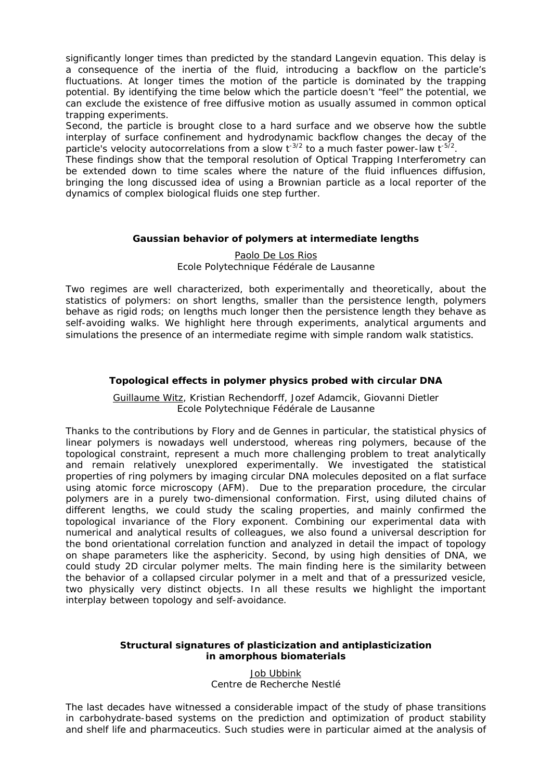significantly longer times than predicted by the standard Langevin equation. This delay is a consequence of the inertia of the fluid, introducing a backflow on the particle's fluctuations. At longer times the motion of the particle is dominated by the trapping potential. By identifying the time below which the particle doesn't "feel" the potential, we can exclude the existence of free diffusive motion as usually assumed in common optical trapping experiments.

Second, the particle is brought close to a hard surface and we observe how the subtle interplay of surface confinement and hydrodynamic backflow changes the decay of the particle's velocity autocorrelations from a slow  $t^{-3/2}$  to a much faster power-law  $t^{-5/2}$ .

These findings show that the temporal resolution of Optical Trapping Interferometry can be extended down to time scales where the nature of the fluid influences diffusion, bringing the long discussed idea of using a Brownian particle as a local reporter of the dynamics of complex biological fluids one step further.

#### **Gaussian behavior of polymers at intermediate lengths**

Paolo De Los Rios *Ecole Polytechnique Fédérale de Lausanne* 

Two regimes are well characterized, both experimentally and theoretically, about the statistics of polymers: on short lengths, smaller than the persistence length, polymers behave as rigid rods; on lengths much longer then the persistence length they behave as self-avoiding walks. We highlight here through experiments, analytical arguments and simulations the presence of an intermediate regime with simple random walk statistics.

#### **Topological effects in polymer physics probed with circular DNA**

Guillaume Witz, Kristian Rechendorff, Jozef Adamcik, Giovanni Dietler *Ecole Polytechnique Fédérale de Lausanne* 

Thanks to the contributions by Flory and de Gennes in particular, the statistical physics of linear polymers is nowadays well understood, whereas ring polymers, because of the topological constraint, represent a much more challenging problem to treat analytically and remain relatively unexplored experimentally. We investigated the statistical properties of ring polymers by imaging circular DNA molecules deposited on a flat surface using atomic force microscopy (AFM). Due to the preparation procedure, the circular polymers are in a purely two-dimensional conformation. First, using diluted chains of different lengths, we could study the scaling properties, and mainly confirmed the topological invariance of the Flory exponent. Combining our experimental data with numerical and analytical results of colleagues, we also found a universal description for the bond orientational correlation function and analyzed in detail the impact of topology on shape parameters like the asphericity. Second, by using high densities of DNA, we could study 2D circular polymer melts. The main finding here is the similarity between the behavior of a collapsed circular polymer in a melt and that of a pressurized vesicle, two physically very distinct objects. In all these results we highlight the important interplay between topology and self-avoidance.

#### **Structural signatures of plasticization and antiplasticization in amorphous biomaterials**

Job Ubbink Centre de Recherche Nestlé

The last decades have witnessed a considerable impact of the study of phase transitions in carbohydrate-based systems on the prediction and optimization of product stability and shelf life and pharmaceutics. Such studies were in particular aimed at the analysis of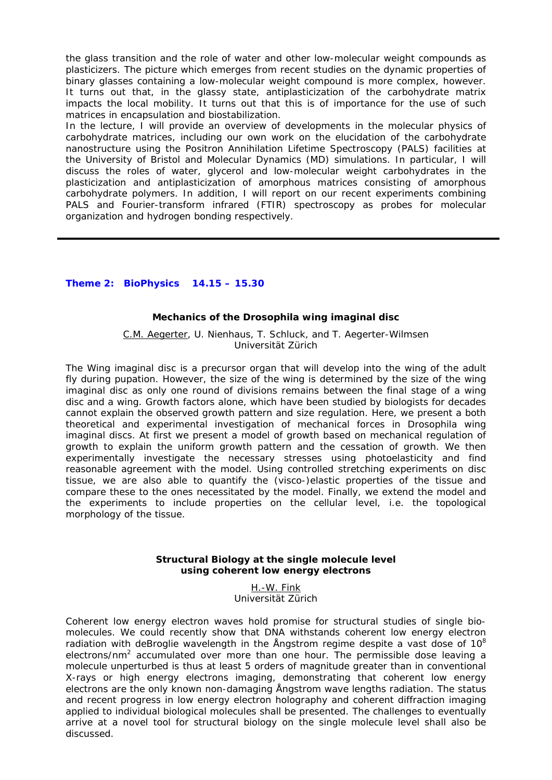the glass transition and the role of water and other low-molecular weight compounds as plasticizers. The picture which emerges from recent studies on the dynamic properties of binary glasses containing a low-molecular weight compound is more complex, however. It turns out that, in the glassy state, antiplasticization of the carbohydrate matrix impacts the local mobility. It turns out that this is of importance for the use of such matrices in encapsulation and biostabilization.

In the lecture, I will provide an overview of developments in the molecular physics of carbohydrate matrices, including our own work on the elucidation of the carbohydrate nanostructure using the Positron Annihilation Lifetime Spectroscopy (PALS) facilities at the University of Bristol and Molecular Dynamics (MD) simulations. In particular, I will discuss the roles of water, glycerol and low-molecular weight carbohydrates in the plasticization and antiplasticization of amorphous matrices consisting of amorphous carbohydrate polymers. In addition, I will report on our recent experiments combining PALS and Fourier-transform infrared (FTIR) spectroscopy as probes for molecular organization and hydrogen bonding respectively.

#### **Theme 2: BioPhysics 14.15 – 15.30**

#### **Mechanics of the Drosophila wing imaginal disc**

C.M. Aegerter, U. Nienhaus, T. Schluck, and T. Aegerter-Wilmsen *Universität Zürich* 

The Wing imaginal disc is a precursor organ that will develop into the wing of the adult fly during pupation. However, the size of the wing is determined by the size of the wing imaginal disc as only one round of divisions remains between the final stage of a wing disc and a wing. Growth factors alone, which have been studied by biologists for decades cannot explain the observed growth pattern and size regulation. Here, we present a both theoretical and experimental investigation of mechanical forces in Drosophila wing imaginal discs. At first we present a model of growth based on mechanical regulation of growth to explain the uniform growth pattern and the cessation of growth. We then experimentally investigate the necessary stresses using photoelasticity and find reasonable agreement with the model. Using controlled stretching experiments on disc tissue, we are also able to quantify the (visco-)elastic properties of the tissue and compare these to the ones necessitated by the model. Finally, we extend the model and the experiments to include properties on the cellular level, i.e. the topological morphology of the tissue.

#### **Structural Biology at the single molecule level using coherent low energy electrons**

H.-W. Fink *Universität Zürich* 

Coherent low energy electron waves hold promise for structural studies of single biomolecules. We could recently show that DNA withstands coherent low energy electron radiation with deBroglie wavelength in the Ångstrom regime despite a vast dose of  $10^8$ electrons/nm<sup>2</sup> accumulated over more than one hour. The permissible dose leaving a molecule unperturbed is thus at least 5 orders of magnitude greater than in conventional X-rays or high energy electrons imaging, demonstrating that coherent low energy electrons are the only known non-damaging Ångstrom wave lengths radiation. The status and recent progress in low energy electron holography and coherent diffraction imaging applied to individual biological molecules shall be presented. The challenges to eventually arrive at a novel tool for structural biology on the single molecule level shall also be discussed.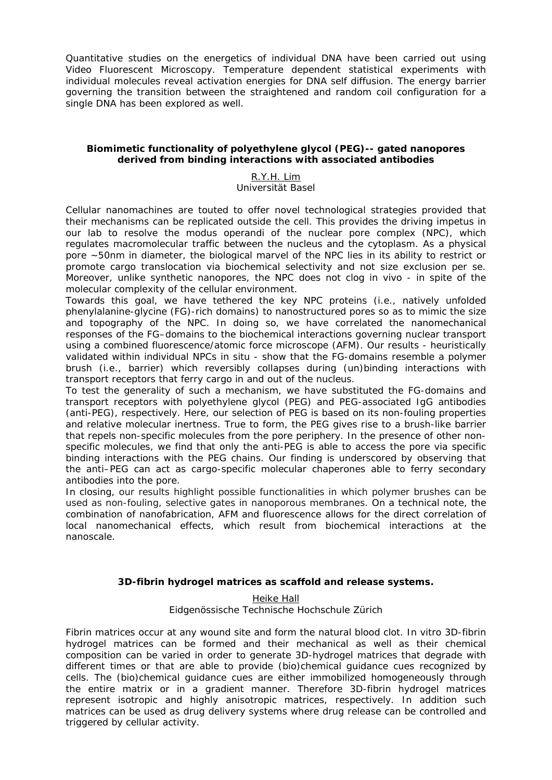Quantitative studies on the energetics of individual DNA have been carried out using Video Fluorescent Microscopy. Temperature dependent statistical experiments with individual molecules reveal activation energies for DNA self diffusion. The energy barrier governing the transition between the straightened and random coil configuration for a single DNA has been explored as well.

#### **Biomimetic functionality of polyethylene glycol (PEG)-- gated nanopores derived from binding interactions with associated antibodies**

#### R.Y.H. Lim *Universität Basel*

Cellular nanomachines are touted to offer novel technological strategies provided that their mechanisms can be replicated outside the cell. This provides the driving impetus in our lab to resolve the *modus operandi* of the nuclear pore complex (NPC), which regulates macromolecular traffic between the nucleus and the cytoplasm. As a physical pore ~50nm in diameter, the biological marvel of the NPC lies in its ability to restrict or promote cargo translocation via biochemical selectivity and not size exclusion *per se*. Moreover, unlike synthetic nanopores, the NPC does not clog *in vivo* - in spite of the molecular complexity of the cellular environment.

Towards this goal, we have tethered the key NPC proteins (i.e., natively unfolded phenylalanine-glycine (FG)-rich domains) to nanostructured pores so as to mimic the size and topography of the NPC. In doing so, we have correlated the nanomechanical responses of the FG–domains to the biochemical interactions governing nuclear transport using a combined fluorescence/atomic force microscope (AFM). Our results - heuristically validated within individual NPCs *in situ* - show that the FG-domains resemble a polymer brush (i.e., barrier) which reversibly collapses during (un)binding interactions with transport receptors that ferry cargo in and out of the nucleus.

To test the generality of such a mechanism, we have substituted the FG-domains and transport receptors with polyethylene glycol (PEG) and PEG-associated IgG antibodies (anti-PEG), respectively. Here, our selection of PEG is based on its non-fouling properties and relative molecular inertness. True to form, the PEG gives rise to a brush-like barrier that repels non-specific molecules from the pore periphery. In the presence of other nonspecific molecules, we find that only the anti-PEG is able to access the pore via specific binding interactions with the PEG chains. Our finding is underscored by observing that the anti–PEG can act as cargo-specific molecular chaperones able to ferry secondary antibodies into the pore.

In closing, our results highlight possible functionalities in which polymer brushes can be used as non-fouling, selective gates in nanoporous membranes. On a technical note, the combination of nanofabrication, AFM and fluorescence allows for the direct correlation of local nanomechanical effects, which result from biochemical interactions at the nanoscale.

#### **3D-fibrin hydrogel matrices as scaffold and release systems.**

Heike Hall *Eidgenössische Technische Hochschule Zürich* 

Fibrin matrices occur at any wound site and form the natural blood clot. In vitro 3D-fibrin hydrogel matrices can be formed and their mechanical as well as their chemical composition can be varied in order to generate 3D-hydrogel matrices that degrade with different times or that are able to provide (bio)chemical guidance cues recognized by cells. The (bio)chemical guidance cues are either immobilized homogeneously through the entire matrix or in a gradient manner. Therefore 3D-fibrin hydrogel matrices represent isotropic and highly anisotropic matrices, respectively. In addition such matrices can be used as drug delivery systems where drug release can be controlled and triggered by cellular activity.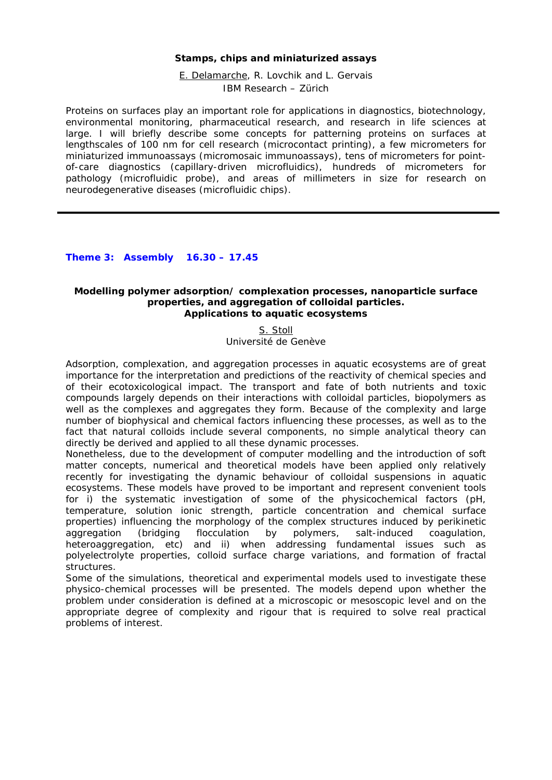#### **Stamps, chips and miniaturized assays**

E. Delamarche, R. Lovchik and L. Gervais *IBM Research – Zürich* 

Proteins on surfaces play an important role for applications in diagnostics, biotechnology, environmental monitoring, pharmaceutical research, and research in life sciences at large. I will briefly describe some concepts for patterning proteins on surfaces at lengthscales of 100 nm for cell research (microcontact printing), a few micrometers for miniaturized immunoassays (micromosaic immunoassays), tens of micrometers for pointof-care diagnostics (capillary-driven microfluidics), hundreds of micrometers for pathology (microfluidic probe), and areas of millimeters in size for research on neurodegenerative diseases (microfluidic chips).

**Theme 3: Assembly 16.30 – 17.45** 

#### **Modelling polymer adsorption/ complexation processes, nanoparticle surface properties, and aggregation of colloidal particles. Applications to aquatic ecosystems**

S. Stoll

*Université de Genève* 

Adsorption, complexation, and aggregation processes in aquatic ecosystems are of great importance for the interpretation and predictions of the reactivity of chemical species and of their ecotoxicological impact. The transport and fate of both nutrients and toxic compounds largely depends on their interactions with colloidal particles, biopolymers as well as the complexes and aggregates they form. Because of the complexity and large number of biophysical and chemical factors influencing these processes, as well as to the fact that natural colloids include several components, no simple analytical theory can directly be derived and applied to all these dynamic processes.

Nonetheless, due to the development of computer modelling and the introduction of soft matter concepts, numerical and theoretical models have been applied only relatively recently for investigating the dynamic behaviour of colloidal suspensions in aquatic ecosystems. These models have proved to be important and represent convenient tools for i) the systematic investigation of some of the physicochemical factors (pH, temperature, solution ionic strength, particle concentration and chemical surface properties) influencing the morphology of the complex structures induced by perikinetic aggregation (bridging flocculation by polymers, salt-induced coagulation, heteroaggregation, etc) and ii) when addressing fundamental issues such as polyelectrolyte properties, colloid surface charge variations, and formation of fractal structures.

Some of the simulations, theoretical and experimental models used to investigate these physico-chemical processes will be presented. The models depend upon whether the problem under consideration is defined at a microscopic or mesoscopic level and on the appropriate degree of complexity and rigour that is required to solve real practical problems of interest.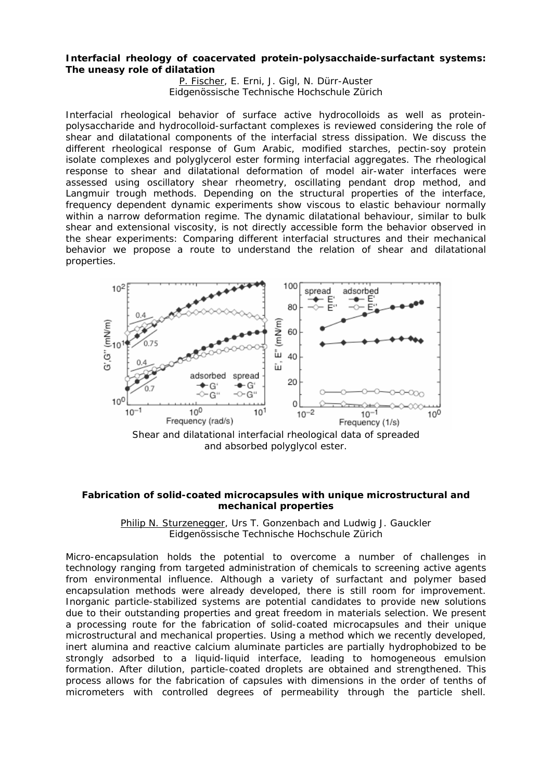#### **Interfacial rheology of coacervated protein-polysacchaide-surfactant systems: The uneasy role of dilatation**

P. Fischer, E. Erni, J. Gigl, N. Dürr-Auster *Eidgenössische Technische Hochschule Zürich* 

Interfacial rheological behavior of surface active hydrocolloids as well as proteinpolysaccharide and hydrocolloid-surfactant complexes is reviewed considering the role of shear and dilatational components of the interfacial stress dissipation. We discuss the different rheological response of Gum Arabic, modified starches, pectin-soy protein isolate complexes and polyglycerol ester forming interfacial aggregates. The rheological response to shear and dilatational deformation of model air-water interfaces were assessed using oscillatory shear rheometry, oscillating pendant drop method, and Langmuir trough methods. Depending on the structural properties of the interface, frequency dependent dynamic experiments show viscous to elastic behaviour normally within a narrow deformation regime. The dynamic dilatational behaviour, similar to bulk shear and extensional viscosity, is not directly accessible form the behavior observed in the shear experiments: Comparing different interfacial structures and their mechanical behavior we propose a route to understand the relation of shear and dilatational properties.



Shear and dilatational interfacial rheological data of spreaded and absorbed polyglycol ester.

#### **Fabrication of solid-coated microcapsules with unique microstructural and mechanical properties**

Philip N. Sturzenegger, Urs T. Gonzenbach and Ludwig J. Gauckler *Eidgenössische Technische Hochschule Zürich* 

Micro-encapsulation holds the potential to overcome a number of challenges in technology ranging from targeted administration of chemicals to screening active agents from environmental influence. Although a variety of surfactant and polymer based encapsulation methods were already developed, there is still room for improvement. Inorganic particle-stabilized systems are potential candidates to provide new solutions due to their outstanding properties and great freedom in materials selection. We present a processing route for the fabrication of solid-coated microcapsules and their unique microstructural and mechanical properties. Using a method which we recently developed, inert alumina and reactive calcium aluminate particles are partially hydrophobized to be strongly adsorbed to a liquid-liquid interface, leading to homogeneous emulsion formation. After dilution, particle-coated droplets are obtained and strengthened. This process allows for the fabrication of capsules with dimensions in the order of tenths of micrometers with controlled degrees of permeability through the particle shell.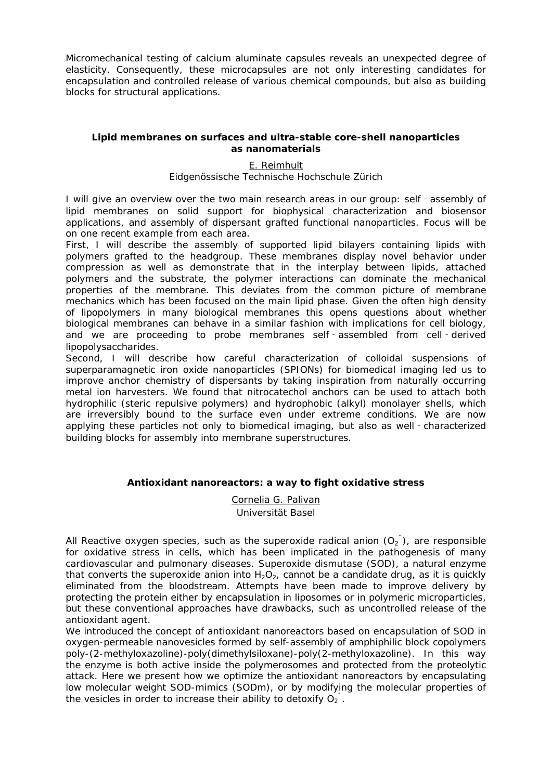Micromechanical testing of calcium aluminate capsules reveals an unexpected degree of elasticity. Consequently, these microcapsules are not only interesting candidates for encapsulation and controlled release of various chemical compounds, but also as building blocks for structural applications.

#### **Lipid membranes on surfaces and ultra-stable core-shell nanoparticles as nanomaterials**

#### E. Reimhult *Eidgenössische Technische Hochschule Zürich*

I will give an overview over the two main research areas in our group: self‐assembly of lipid membranes on solid support for biophysical characterization and biosensor applications, and assembly of dispersant grafted functional nanoparticles. Focus will be on one recent example from each area.

First, I will describe the assembly of supported lipid bilayers containing lipids with polymers grafted to the headgroup. These membranes display novel behavior under compression as well as demonstrate that in the interplay between lipids, attached polymers and the substrate, the polymer interactions can dominate the mechanical properties of the membrane. This deviates from the common picture of membrane mechanics which has been focused on the main lipid phase. Given the often high density of lipopolymers in many biological membranes this opens questions about whether biological membranes can behave in a similar fashion with implications for cell biology, and we are proceeding to probe membranes self‐assembled from cell‐derived lipopolysaccharides.

Second, I will describe how careful characterization of colloidal suspensions of superparamagnetic iron oxide nanoparticles (SPIONs) for biomedical imaging led us to improve anchor chemistry of dispersants by taking inspiration from naturally occurring metal ion harvesters. We found that nitrocatechol anchors can be used to attach both hydrophilic (steric repulsive polymers) and hydrophobic (alkyl) monolayer shells, which are irreversibly bound to the surface even under extreme conditions. We are now applying these particles not only to biomedical imaging, but also as well‐characterized building blocks for assembly into membrane superstructures.

#### **Antioxidant nanoreactors: a way to fight oxidative stress**

Cornelia G. Palivan *Universität Basel* 

All Reactive oxygen species, such as the superoxide radical anion  $(O_2)$ , are responsible for oxidative stress in cells, which has been implicated in the pathogenesis of many cardiovascular and pulmonary diseases. Superoxide dismutase (SOD), a natural enzyme that converts the superoxide anion into  $H_2O_2$ , cannot be a candidate drug, as it is quickly eliminated from the bloodstream. Attempts have been made to improve delivery by protecting the protein either by encapsulation in liposomes or in polymeric microparticles, but these conventional approaches have drawbacks, such as uncontrolled release of the antioxidant agent.

We introduced the concept of antioxidant nanoreactors based on encapsulation of SOD in oxygen-permeable nanovesicles formed by self-assembly of amphiphilic block copolymers poly-(2-methyloxazoline)-poly(dimethylsiloxane)-poly(2-methyloxazoline). In this way the enzyme is both active inside the polymerosomes and protected from the proteolytic attack. Here we present how we optimize the antioxidant nanoreactors by encapsulating low molecular weight SOD-mimics (SODm), or by modifying the molecular properties of the vesicles in order to increase their ability to detoxify  $O_2$ .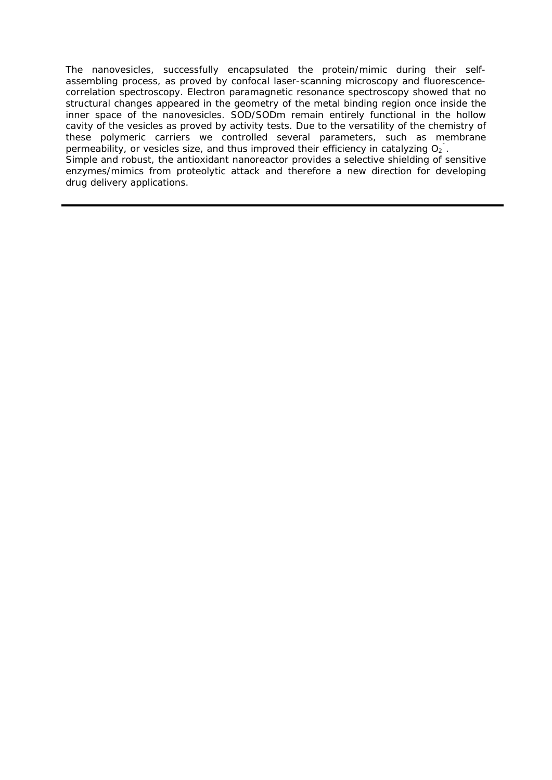The nanovesicles, successfully encapsulated the protein/mimic during their selfassembling process, as proved by confocal laser-scanning microscopy and fluorescencecorrelation spectroscopy. Electron paramagnetic resonance spectroscopy showed that no structural changes appeared in the geometry of the metal binding region once inside the inner space of the nanovesicles. SOD/SODm remain entirely functional in the hollow cavity of the vesicles as proved by activity tests. Due to the versatility of the chemistry of these polymeric carriers we controlled several parameters, such as membrane permeability, or vesicles size, and thus improved their efficiency in catalyzing  $O_2$ . Simple and robust, the antioxidant nanoreactor provides a selective shielding of sensitive enzymes/mimics from proteolytic attack and therefore a new direction for developing drug delivery applications.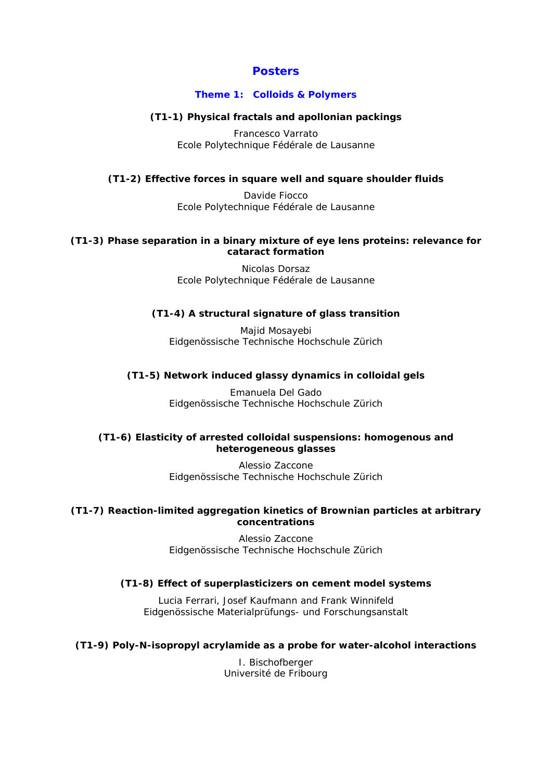#### **Posters**

#### **Theme 1: Colloids & Polymers**

#### **(T1-1) Physical fractals and apollonian packings**

Francesco Varrato *Ecole Polytechnique Fédérale de Lausanne* 

#### **(T1-2) Effective forces in square well and square shoulder fluids**

Davide Fiocco *Ecole Polytechnique Fédérale de Lausanne* 

#### **(T1-3) Phase separation in a binary mixture of eye lens proteins: relevance for cataract formation**

Nicolas Dorsaz *Ecole Polytechnique Fédérale de Lausanne* 

#### **(T1-4) A structural signature of glass transition**

Majid Mosayebi *Eidgenössische Technische Hochschule Zürich* 

#### **(T1-5) Network induced glassy dynamics in colloidal gels**

Emanuela Del Gado *Eidgenössische Technische Hochschule Zürich* 

#### **(T1-6) Elasticity of arrested colloidal suspensions: homogenous and heterogeneous glasses**

Alessio Zaccone *Eidgenössische Technische Hochschule Zürich* 

#### **(T1-7) Reaction-limited aggregation kinetics of Brownian particles at arbitrary concentrations**

Alessio Zaccone *Eidgenössische Technische Hochschule Zürich*

#### **(T1-8) Effect of superplasticizers on cement model systems**

Lucia Ferrari, Josef Kaufmann and Frank Winnifeld *Eidgenössische Materialprüfungs- und Forschungsanstalt*

#### **(T1-9) Poly-N-isopropyl acrylamide as a probe for water-alcohol interactions**

I. Bischofberger *Université de Fribourg*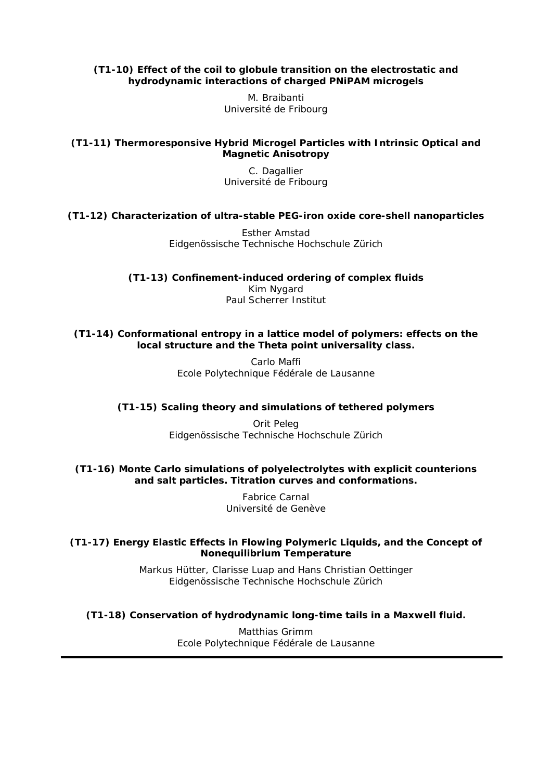#### **(T1-10) Effect of the coil to globule transition on the electrostatic and hydrodynamic interactions of charged PNiPAM microgels**

M. Braibanti *Université de Fribourg*

#### **(T1-11) Thermoresponsive Hybrid Microgel Particles with Intrinsic Optical and Magnetic Anisotropy**

C. Dagallier *Université de Fribourg* 

#### **(T1-12) Characterization of ultra-stable PEG-iron oxide core-shell nanoparticles**

Esther Amstad *Eidgenössische Technische Hochschule Zürich* 

**(T1-13) Confinement-induced ordering of complex fluids**  Kim Nygard *Paul Scherrer Institut* 

#### **(T1-14) Conformational entropy in a lattice model of polymers: effects on the local structure and the Theta point universality class.**

Carlo Maffi *Ecole Polytechnique Fédérale de Lausanne* 

#### **(T1-15) Scaling theory and simulations of tethered polymers**

Orit Peleg *Eidgenössische Technische Hochschule Zürich* 

#### **(T1-16) Monte Carlo simulations of polyelectrolytes with explicit counterions and salt particles. Titration curves and conformations.**

Fabrice Carnal *Université de Genève* 

#### **(T1-17) Energy Elastic Effects in Flowing Polymeric Liquids, and the Concept of Nonequilibrium Temperature**

Markus Hütter, Clarisse Luap and Hans Christian Oettinger *Eidgenössische Technische Hochschule Zürich* 

**(T1-18) Conservation of hydrodynamic long-time tails in a Maxwell fluid.** 

Matthias Grimm *Ecole Polytechnique Fédérale de Lausanne*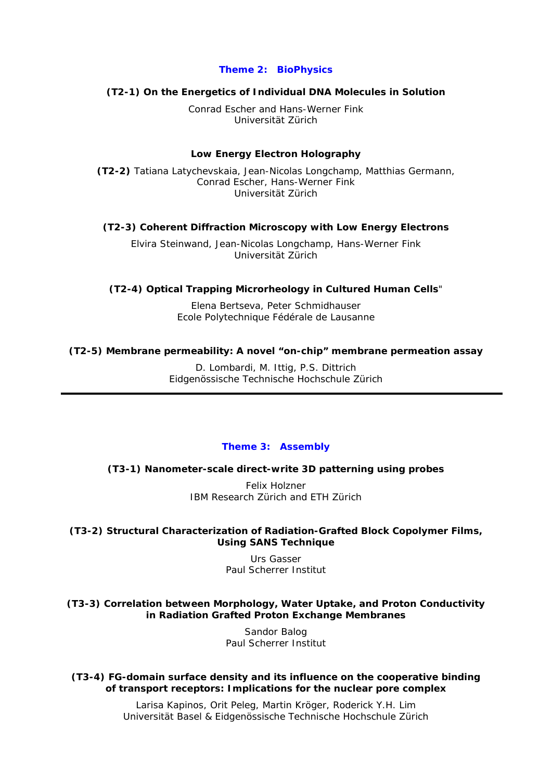#### **Theme 2: BioPhysics**

#### **(T2-1) On the Energetics of Individual DNA Molecules in Solution**

Conrad Escher and Hans-Werner Fink *Universität Zürich* 

#### **Low Energy Electron Holography**

**(T2-2)** Tatiana Latychevskaia, Jean-Nicolas Longchamp, Matthias Germann, Conrad Escher, Hans-Werner Fink *Universität Zürich* 

#### **(T2-3) Coherent Diffraction Microscopy with Low Energy Electrons**

Elvira Steinwand, Jean-Nicolas Longchamp, Hans-Werner Fink *Universität Zürich* 

#### **(T2-4) Optical Trapping Microrheology in Cultured Human Cells**"

Elena Bertseva, Peter Schmidhauser *Ecole Polytechnique Fédérale de Lausanne* 

#### **(T2-5) Membrane permeability: A novel "on-chip" membrane permeation assay**

D. Lombardi, M. Ittig, P.S. Dittrich *Eidgenössische Technische Hochschule Zürich*

#### **Theme 3: Assembly**

#### **(T3-1) Nanometer-scale direct-write 3D patterning using probes**

Felix Holzner *IBM Research Zürich and ETH Zürich*

#### **(T3-2) Structural Characterization of Radiation-Grafted Block Copolymer Films, Using SANS Technique**

Urs Gasser *Paul Scherrer Institut* 

#### **(T3-3) Correlation between Morphology, Water Uptake, and Proton Conductivity in Radiation Grafted Proton Exchange Membranes**

Sandor Balog *Paul Scherrer Institut* 

**(T3-4) FG-domain surface density and its influence on the cooperative binding of transport receptors: Implications for the nuclear pore complex** 

> Larisa Kapinos, Orit Peleg, Martin Kröger, Roderick Y.H. Lim *Universität Basel & Eidgenössische Technische Hochschule Zürich*